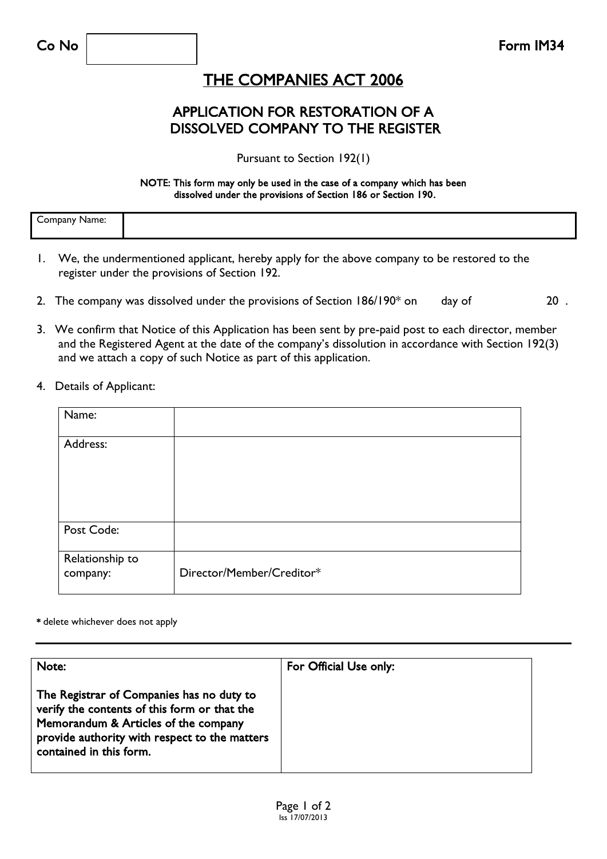## THE COMPANIES ACT 2006

### APPLICATION FOR RESTORATION OF A DISSOLVED COMPANY TO THE REGISTER

Pursuant to Section 192(1)

#### NOTE: This form may only be used in the case of a company which has been dissolved under the provisions of Section 186 or Section 190.

| omnan<br>vanie.<br>ا اەك |  |
|--------------------------|--|
|--------------------------|--|

- 1. We, the undermentioned applicant, hereby apply for the above company to be restored to the register under the provisions of Section 192.
- 2. The company was dissolved under the provisions of Section  $186/190^*$  on day of 20.
- 3. We confirm that Notice of this Application has been sent by pre-paid post to each director, member and the Registered Agent at the date of the company's dissolution in accordance with Section 192(3) and we attach a copy of such Notice as part of this application.
- 4. Details of Applicant:

| Name:                       |                           |
|-----------------------------|---------------------------|
| Address:                    |                           |
| Post Code:                  |                           |
| Relationship to<br>company: | Director/Member/Creditor* |

#### \* delete whichever does not apply

| Note:                                                                                                                                                                                                         | For Official Use only: |
|---------------------------------------------------------------------------------------------------------------------------------------------------------------------------------------------------------------|------------------------|
| The Registrar of Companies has no duty to<br>verify the contents of this form or that the<br>Memorandum & Articles of the company<br>provide authority with respect to the matters<br>contained in this form. |                        |